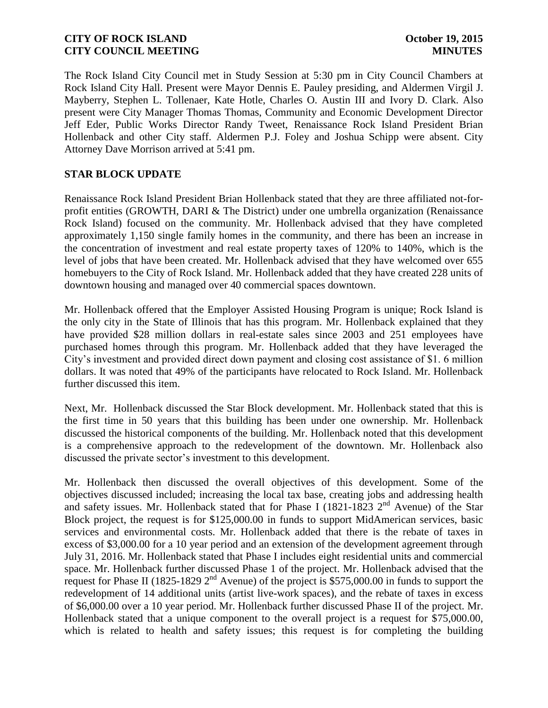The Rock Island City Council met in Study Session at 5:30 pm in City Council Chambers at Rock Island City Hall. Present were Mayor Dennis E. Pauley presiding, and Aldermen Virgil J. Mayberry, Stephen L. Tollenaer, Kate Hotle, Charles O. Austin III and Ivory D. Clark. Also present were City Manager Thomas Thomas, Community and Economic Development Director Jeff Eder, Public Works Director Randy Tweet, Renaissance Rock Island President Brian Hollenback and other City staff. Aldermen P.J. Foley and Joshua Schipp were absent. City Attorney Dave Morrison arrived at 5:41 pm.

# **STAR BLOCK UPDATE**

Renaissance Rock Island President Brian Hollenback stated that they are three affiliated not-forprofit entities (GROWTH, DARI & The District) under one umbrella organization (Renaissance Rock Island) focused on the community. Mr. Hollenback advised that they have completed approximately 1,150 single family homes in the community, and there has been an increase in the concentration of investment and real estate property taxes of 120% to 140%, which is the level of jobs that have been created. Mr. Hollenback advised that they have welcomed over 655 homebuyers to the City of Rock Island. Mr. Hollenback added that they have created 228 units of downtown housing and managed over 40 commercial spaces downtown.

Mr. Hollenback offered that the Employer Assisted Housing Program is unique; Rock Island is the only city in the State of Illinois that has this program. Mr. Hollenback explained that they have provided \$28 million dollars in real-estate sales since 2003 and 251 employees have purchased homes through this program. Mr. Hollenback added that they have leveraged the City's investment and provided direct down payment and closing cost assistance of \$1. 6 million dollars. It was noted that 49% of the participants have relocated to Rock Island. Mr. Hollenback further discussed this item.

Next, Mr. Hollenback discussed the Star Block development. Mr. Hollenback stated that this is the first time in 50 years that this building has been under one ownership. Mr. Hollenback discussed the historical components of the building. Mr. Hollenback noted that this development is a comprehensive approach to the redevelopment of the downtown. Mr. Hollenback also discussed the private sector's investment to this development.

Mr. Hollenback then discussed the overall objectives of this development. Some of the objectives discussed included; increasing the local tax base, creating jobs and addressing health and safety issues. Mr. Hollenback stated that for Phase I (1821-1823  $2<sup>nd</sup>$  Avenue) of the Star Block project, the request is for \$125,000.00 in funds to support MidAmerican services, basic services and environmental costs. Mr. Hollenback added that there is the rebate of taxes in excess of \$3,000.00 for a 10 year period and an extension of the development agreement through July 31, 2016. Mr. Hollenback stated that Phase I includes eight residential units and commercial space. Mr. Hollenback further discussed Phase 1 of the project. Mr. Hollenback advised that the request for Phase II (1825-1829 2<sup>nd</sup> Avenue) of the project is \$575,000.00 in funds to support the redevelopment of 14 additional units (artist live-work spaces), and the rebate of taxes in excess of \$6,000.00 over a 10 year period. Mr. Hollenback further discussed Phase II of the project. Mr. Hollenback stated that a unique component to the overall project is a request for \$75,000.00, which is related to health and safety issues; this request is for completing the building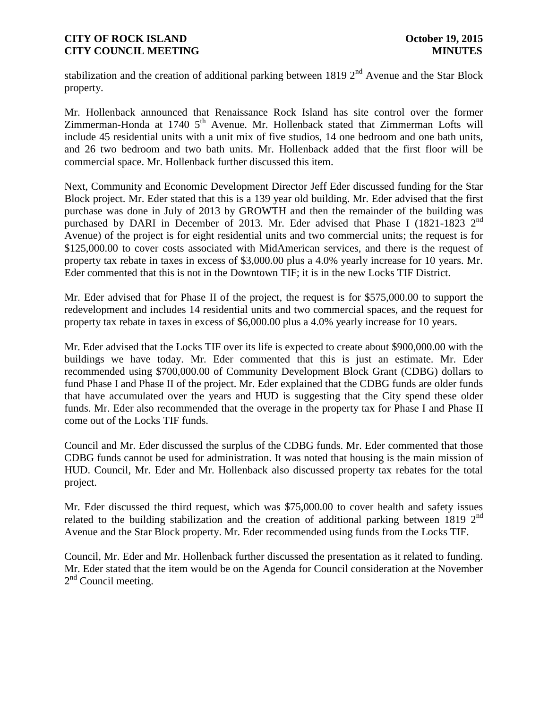stabilization and the creation of additional parking between 1819  $2<sup>nd</sup>$  Avenue and the Star Block property.

Mr. Hollenback announced that Renaissance Rock Island has site control over the former  $Z$ immerman-Honda at 1740  $5<sup>th</sup>$  Avenue. Mr. Hollenback stated that Zimmerman Lofts will include 45 residential units with a unit mix of five studios, 14 one bedroom and one bath units, and 26 two bedroom and two bath units. Mr. Hollenback added that the first floor will be commercial space. Mr. Hollenback further discussed this item.

Next, Community and Economic Development Director Jeff Eder discussed funding for the Star Block project. Mr. Eder stated that this is a 139 year old building. Mr. Eder advised that the first purchase was done in July of 2013 by GROWTH and then the remainder of the building was purchased by DARI in December of 2013. Mr. Eder advised that Phase I (1821-1823 2<sup>nd</sup> Avenue) of the project is for eight residential units and two commercial units; the request is for \$125,000.00 to cover costs associated with MidAmerican services, and there is the request of property tax rebate in taxes in excess of \$3,000.00 plus a 4.0% yearly increase for 10 years. Mr. Eder commented that this is not in the Downtown TIF; it is in the new Locks TIF District.

Mr. Eder advised that for Phase II of the project, the request is for \$575,000.00 to support the redevelopment and includes 14 residential units and two commercial spaces, and the request for property tax rebate in taxes in excess of \$6,000.00 plus a 4.0% yearly increase for 10 years.

Mr. Eder advised that the Locks TIF over its life is expected to create about \$900,000.00 with the buildings we have today. Mr. Eder commented that this is just an estimate. Mr. Eder recommended using \$700,000.00 of Community Development Block Grant (CDBG) dollars to fund Phase I and Phase II of the project. Mr. Eder explained that the CDBG funds are older funds that have accumulated over the years and HUD is suggesting that the City spend these older funds. Mr. Eder also recommended that the overage in the property tax for Phase I and Phase II come out of the Locks TIF funds.

Council and Mr. Eder discussed the surplus of the CDBG funds. Mr. Eder commented that those CDBG funds cannot be used for administration. It was noted that housing is the main mission of HUD. Council, Mr. Eder and Mr. Hollenback also discussed property tax rebates for the total project.

Mr. Eder discussed the third request, which was \$75,000.00 to cover health and safety issues related to the building stabilization and the creation of additional parking between 1819  $2<sup>nd</sup>$ Avenue and the Star Block property. Mr. Eder recommended using funds from the Locks TIF.

Council, Mr. Eder and Mr. Hollenback further discussed the presentation as it related to funding. Mr. Eder stated that the item would be on the Agenda for Council consideration at the November 2<sup>nd</sup> Council meeting.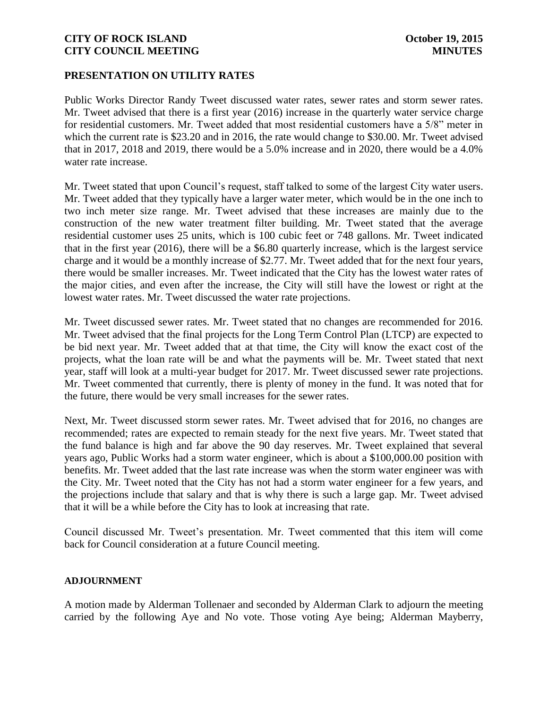#### **PRESENTATION ON UTILITY RATES**

Public Works Director Randy Tweet discussed water rates, sewer rates and storm sewer rates. Mr. Tweet advised that there is a first year (2016) increase in the quarterly water service charge for residential customers. Mr. Tweet added that most residential customers have a 5/8" meter in which the current rate is \$23.20 and in 2016, the rate would change to \$30.00. Mr. Tweet advised that in 2017, 2018 and 2019, there would be a 5.0% increase and in 2020, there would be a 4.0% water rate increase.

Mr. Tweet stated that upon Council's request, staff talked to some of the largest City water users. Mr. Tweet added that they typically have a larger water meter, which would be in the one inch to two inch meter size range. Mr. Tweet advised that these increases are mainly due to the construction of the new water treatment filter building. Mr. Tweet stated that the average residential customer uses 25 units, which is 100 cubic feet or 748 gallons. Mr. Tweet indicated that in the first year (2016), there will be a \$6.80 quarterly increase, which is the largest service charge and it would be a monthly increase of \$2.77. Mr. Tweet added that for the next four years, there would be smaller increases. Mr. Tweet indicated that the City has the lowest water rates of the major cities, and even after the increase, the City will still have the lowest or right at the lowest water rates. Mr. Tweet discussed the water rate projections.

Mr. Tweet discussed sewer rates. Mr. Tweet stated that no changes are recommended for 2016. Mr. Tweet advised that the final projects for the Long Term Control Plan (LTCP) are expected to be bid next year. Mr. Tweet added that at that time, the City will know the exact cost of the projects, what the loan rate will be and what the payments will be. Mr. Tweet stated that next year, staff will look at a multi-year budget for 2017. Mr. Tweet discussed sewer rate projections. Mr. Tweet commented that currently, there is plenty of money in the fund. It was noted that for the future, there would be very small increases for the sewer rates.

Next, Mr. Tweet discussed storm sewer rates. Mr. Tweet advised that for 2016, no changes are recommended; rates are expected to remain steady for the next five years. Mr. Tweet stated that the fund balance is high and far above the 90 day reserves. Mr. Tweet explained that several years ago, Public Works had a storm water engineer, which is about a \$100,000.00 position with benefits. Mr. Tweet added that the last rate increase was when the storm water engineer was with the City. Mr. Tweet noted that the City has not had a storm water engineer for a few years, and the projections include that salary and that is why there is such a large gap. Mr. Tweet advised that it will be a while before the City has to look at increasing that rate.

Council discussed Mr. Tweet's presentation. Mr. Tweet commented that this item will come back for Council consideration at a future Council meeting.

#### **ADJOURNMENT**

A motion made by Alderman Tollenaer and seconded by Alderman Clark to adjourn the meeting carried by the following Aye and No vote. Those voting Aye being; Alderman Mayberry,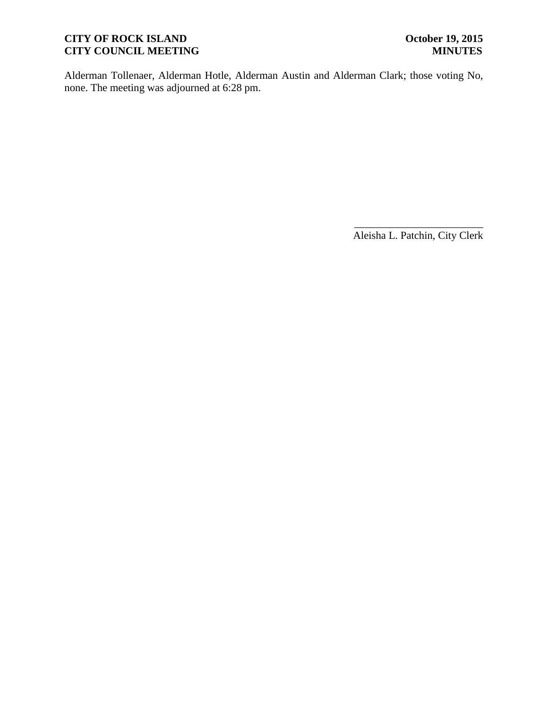# **CITY OF ROCK ISLAND October 19, 2015<br>
CITY COUNCIL MEETING MINUTES CITY COUNCIL MEETING**

Alderman Tollenaer, Alderman Hotle, Alderman Austin and Alderman Clark; those voting No, none. The meeting was adjourned at 6:28 pm.

> \_\_\_\_\_\_\_\_\_\_\_\_\_\_\_\_\_\_\_\_\_\_\_\_ Aleisha L. Patchin, City Clerk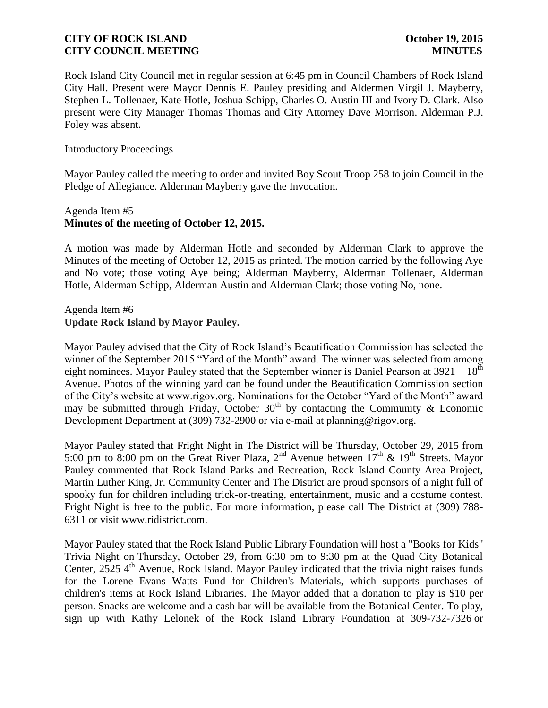Rock Island City Council met in regular session at 6:45 pm in Council Chambers of Rock Island City Hall. Present were Mayor Dennis E. Pauley presiding and Aldermen Virgil J. Mayberry, Stephen L. Tollenaer, Kate Hotle, Joshua Schipp, Charles O. Austin III and Ivory D. Clark. Also present were City Manager Thomas Thomas and City Attorney Dave Morrison. Alderman P.J. Foley was absent.

#### Introductory Proceedings

Mayor Pauley called the meeting to order and invited Boy Scout Troop 258 to join Council in the Pledge of Allegiance. Alderman Mayberry gave the Invocation.

### Agenda Item #5 **Minutes of the meeting of October 12, 2015.**

A motion was made by Alderman Hotle and seconded by Alderman Clark to approve the Minutes of the meeting of October 12, 2015 as printed. The motion carried by the following Aye and No vote; those voting Aye being; Alderman Mayberry, Alderman Tollenaer, Alderman Hotle, Alderman Schipp, Alderman Austin and Alderman Clark; those voting No, none.

#### Agenda Item #6 **Update Rock Island by Mayor Pauley.**

Mayor Pauley advised that the City of Rock Island's Beautification Commission has selected the winner of the September 2015 "Yard of the Month" award. The winner was selected from among eight nominees. Mayor Pauley stated that the September winner is Daniel Pearson at  $3921 - 18^{th}$ Avenue. Photos of the winning yard can be found under the Beautification Commission section of the City's website at www.rigov.org. Nominations for the October "Yard of the Month" award may be submitted through Friday, October  $30<sup>th</sup>$  by contacting the Community & Economic Development Department at (309) 732-2900 or via e-mail at planning@rigov.org.

Mayor Pauley stated that Fright Night in The District will be Thursday, October 29, 2015 from 5:00 pm to 8:00 pm on the Great River Plaza,  $2<sup>nd</sup>$  Avenue between  $17<sup>th</sup>$  &  $19<sup>th</sup>$  Streets. Mayor Pauley commented that Rock Island Parks and Recreation, Rock Island County Area Project, Martin Luther King, Jr. Community Center and The District are proud sponsors of a night full of spooky fun for children including trick-or-treating, entertainment, music and a costume contest. Fright Night is free to the public. For more information, please call The District at (309) 788- 6311 or visit www.ridistrict.com.

Mayor Pauley stated that the Rock Island Public Library Foundation will host a "Books for Kids" Trivia Night on Thursday, October 29, from 6:30 pm to 9:30 pm at the Quad City Botanical Center, 2525 4<sup>th</sup> Avenue, Rock Island. Mayor Pauley indicated that the trivia night raises funds for the Lorene Evans Watts Fund for Children's Materials, which supports purchases of children's items at Rock Island Libraries. The Mayor added that a donation to play is \$10 per person. Snacks are welcome and a cash bar will be available from the Botanical Center. To play, sign up with Kathy Lelonek of the Rock Island Library Foundation at 309-732-7326 or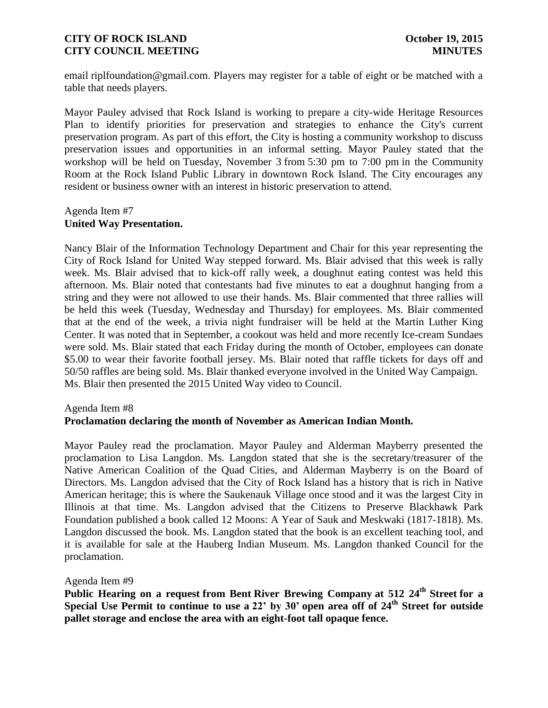email riplfoundation@gmail.com. Players may register for a table of eight or be matched with a table that needs players.

Mayor Pauley advised that Rock Island is working to prepare a city-wide Heritage Resources Plan to identify priorities for preservation and strategies to enhance the City's current preservation program. As part of this effort, the City is hosting a community workshop to discuss preservation issues and opportunities in an informal setting. Mayor Pauley stated that the workshop will be held on Tuesday, November 3 from 5:30 pm to 7:00 pm in the Community Room at the Rock Island Public Library in downtown Rock Island. The City encourages any resident or business owner with an interest in historic preservation to attend.

### Agenda Item #7 **United Way Presentation.**

Nancy Blair of the Information Technology Department and Chair for this year representing the City of Rock Island for United Way stepped forward. Ms. Blair advised that this week is rally week. Ms. Blair advised that to kick-off rally week, a doughnut eating contest was held this afternoon. Ms. Blair noted that contestants had five minutes to eat a doughnut hanging from a string and they were not allowed to use their hands. Ms. Blair commented that three rallies will be held this week (Tuesday, Wednesday and Thursday) for employees. Ms. Blair commented that at the end of the week, a trivia night fundraiser will be held at the Martin Luther King Center. It was noted that in September, a cookout was held and more recently Ice-cream Sundaes were sold. Ms. Blair stated that each Friday during the month of October, employees can donate \$5.00 to wear their favorite football jersey. Ms. Blair noted that raffle tickets for days off and 50/50 raffles are being sold. Ms. Blair thanked everyone involved in the United Way Campaign. Ms. Blair then presented the 2015 United Way video to Council.

#### Agenda Item #8 **Proclamation declaring the month of November as American Indian Month.**

Mayor Pauley read the proclamation. Mayor Pauley and Alderman Mayberry presented the proclamation to Lisa Langdon. Ms. Langdon stated that she is the secretary/treasurer of the Native American Coalition of the Quad Cities, and Alderman Mayberry is on the Board of Directors. Ms. Langdon advised that the City of Rock Island has a history that is rich in Native American heritage; this is where the Saukenauk Village once stood and it was the largest City in Illinois at that time. Ms. Langdon advised that the Citizens to Preserve Blackhawk Park Foundation published a book called 12 Moons: A Year of Sauk and Meskwaki (1817-1818). Ms. Langdon discussed the book. Ms. Langdon stated that the book is an excellent teaching tool, and it is available for sale at the Hauberg Indian Museum. Ms. Langdon thanked Council for the proclamation.

Agenda Item #9

**Public Hearing on a request from Bent River Brewing Company at 512 24th Street for a Special Use Permit to continue to use a 22' by 30' open area off of 24th Street for outside pallet storage and enclose the area with an eight-foot tall opaque fence.**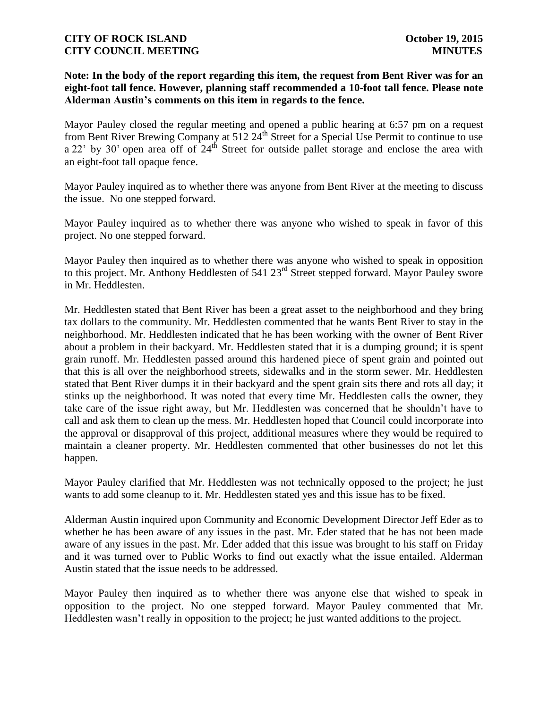# **Note: In the body of the report regarding this item, the request from Bent River was for an eight-foot tall fence. However, planning staff recommended a 10-foot tall fence. Please note Alderman Austin's comments on this item in regards to the fence.**

Mayor Pauley closed the regular meeting and opened a public hearing at 6:57 pm on a request from Bent River Brewing Company at 512 24<sup>th</sup> Street for a Special Use Permit to continue to use a 22' by 30' open area off of  $24<sup>th</sup>$  Street for outside pallet storage and enclose the area with an eight-foot tall opaque fence.

Mayor Pauley inquired as to whether there was anyone from Bent River at the meeting to discuss the issue. No one stepped forward.

Mayor Pauley inquired as to whether there was anyone who wished to speak in favor of this project. No one stepped forward.

Mayor Pauley then inquired as to whether there was anyone who wished to speak in opposition to this project. Mr. Anthony Heddlesten of 541 23<sup>rd</sup> Street stepped forward. Mayor Pauley swore in Mr. Heddlesten.

Mr. Heddlesten stated that Bent River has been a great asset to the neighborhood and they bring tax dollars to the community. Mr. Heddlesten commented that he wants Bent River to stay in the neighborhood. Mr. Heddlesten indicated that he has been working with the owner of Bent River about a problem in their backyard. Mr. Heddlesten stated that it is a dumping ground; it is spent grain runoff. Mr. Heddlesten passed around this hardened piece of spent grain and pointed out that this is all over the neighborhood streets, sidewalks and in the storm sewer. Mr. Heddlesten stated that Bent River dumps it in their backyard and the spent grain sits there and rots all day; it stinks up the neighborhood. It was noted that every time Mr. Heddlesten calls the owner, they take care of the issue right away, but Mr. Heddlesten was concerned that he shouldn't have to call and ask them to clean up the mess. Mr. Heddlesten hoped that Council could incorporate into the approval or disapproval of this project, additional measures where they would be required to maintain a cleaner property. Mr. Heddlesten commented that other businesses do not let this happen.

Mayor Pauley clarified that Mr. Heddlesten was not technically opposed to the project; he just wants to add some cleanup to it. Mr. Heddlesten stated yes and this issue has to be fixed.

Alderman Austin inquired upon Community and Economic Development Director Jeff Eder as to whether he has been aware of any issues in the past. Mr. Eder stated that he has not been made aware of any issues in the past. Mr. Eder added that this issue was brought to his staff on Friday and it was turned over to Public Works to find out exactly what the issue entailed. Alderman Austin stated that the issue needs to be addressed.

Mayor Pauley then inquired as to whether there was anyone else that wished to speak in opposition to the project. No one stepped forward. Mayor Pauley commented that Mr. Heddlesten wasn't really in opposition to the project; he just wanted additions to the project.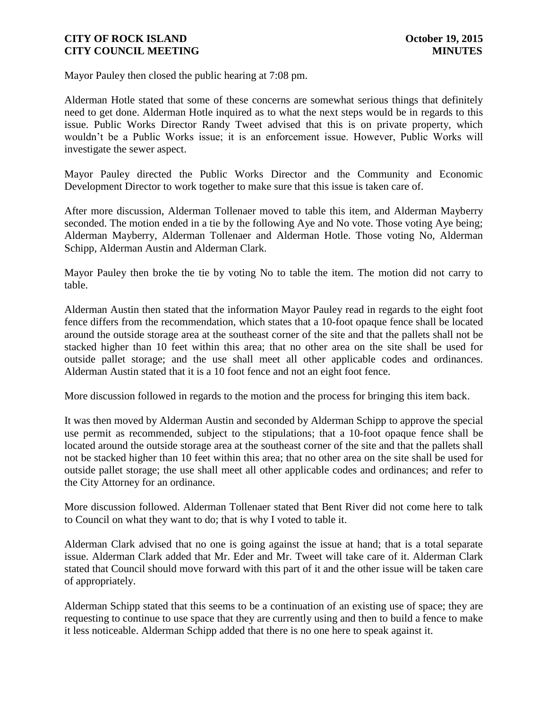Mayor Pauley then closed the public hearing at 7:08 pm.

Alderman Hotle stated that some of these concerns are somewhat serious things that definitely need to get done. Alderman Hotle inquired as to what the next steps would be in regards to this issue. Public Works Director Randy Tweet advised that this is on private property, which wouldn't be a Public Works issue; it is an enforcement issue. However, Public Works will investigate the sewer aspect.

Mayor Pauley directed the Public Works Director and the Community and Economic Development Director to work together to make sure that this issue is taken care of.

After more discussion, Alderman Tollenaer moved to table this item, and Alderman Mayberry seconded. The motion ended in a tie by the following Aye and No vote. Those voting Aye being; Alderman Mayberry, Alderman Tollenaer and Alderman Hotle. Those voting No, Alderman Schipp, Alderman Austin and Alderman Clark.

Mayor Pauley then broke the tie by voting No to table the item. The motion did not carry to table.

Alderman Austin then stated that the information Mayor Pauley read in regards to the eight foot fence differs from the recommendation, which states that a 10-foot opaque fence shall be located around the outside storage area at the southeast corner of the site and that the pallets shall not be stacked higher than 10 feet within this area; that no other area on the site shall be used for outside pallet storage; and the use shall meet all other applicable codes and ordinances. Alderman Austin stated that it is a 10 foot fence and not an eight foot fence.

More discussion followed in regards to the motion and the process for bringing this item back.

It was then moved by Alderman Austin and seconded by Alderman Schipp to approve the special use permit as recommended, subject to the stipulations; that a 10-foot opaque fence shall be located around the outside storage area at the southeast corner of the site and that the pallets shall not be stacked higher than 10 feet within this area; that no other area on the site shall be used for outside pallet storage; the use shall meet all other applicable codes and ordinances; and refer to the City Attorney for an ordinance.

More discussion followed. Alderman Tollenaer stated that Bent River did not come here to talk to Council on what they want to do; that is why I voted to table it.

Alderman Clark advised that no one is going against the issue at hand; that is a total separate issue. Alderman Clark added that Mr. Eder and Mr. Tweet will take care of it. Alderman Clark stated that Council should move forward with this part of it and the other issue will be taken care of appropriately.

Alderman Schipp stated that this seems to be a continuation of an existing use of space; they are requesting to continue to use space that they are currently using and then to build a fence to make it less noticeable. Alderman Schipp added that there is no one here to speak against it.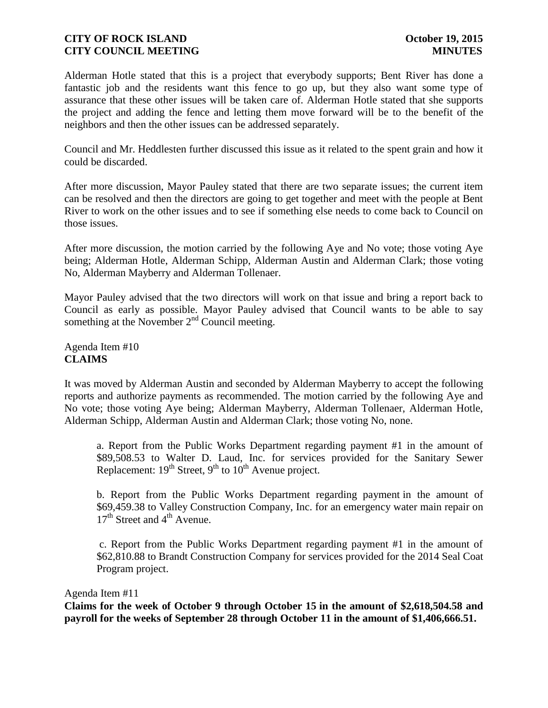Alderman Hotle stated that this is a project that everybody supports; Bent River has done a fantastic job and the residents want this fence to go up, but they also want some type of assurance that these other issues will be taken care of. Alderman Hotle stated that she supports the project and adding the fence and letting them move forward will be to the benefit of the neighbors and then the other issues can be addressed separately.

Council and Mr. Heddlesten further discussed this issue as it related to the spent grain and how it could be discarded.

After more discussion, Mayor Pauley stated that there are two separate issues; the current item can be resolved and then the directors are going to get together and meet with the people at Bent River to work on the other issues and to see if something else needs to come back to Council on those issues.

After more discussion, the motion carried by the following Aye and No vote; those voting Aye being; Alderman Hotle, Alderman Schipp, Alderman Austin and Alderman Clark; those voting No, Alderman Mayberry and Alderman Tollenaer.

Mayor Pauley advised that the two directors will work on that issue and bring a report back to Council as early as possible. Mayor Pauley advised that Council wants to be able to say something at the November  $2<sup>nd</sup>$  Council meeting.

Agenda Item #10 **CLAIMS**

It was moved by Alderman Austin and seconded by Alderman Mayberry to accept the following reports and authorize payments as recommended. The motion carried by the following Aye and No vote; those voting Aye being; Alderman Mayberry, Alderman Tollenaer, Alderman Hotle, Alderman Schipp, Alderman Austin and Alderman Clark; those voting No, none.

a. Report from the Public Works Department regarding payment #1 in the amount of \$89,508.53 to Walter D. Laud, Inc. for services provided for the Sanitary Sewer Replacement:  $19^{th}$  Street,  $9^{th}$  to  $10^{th}$  Avenue project.

b. Report from the Public Works Department regarding payment in the amount of \$69,459.38 to Valley Construction Company, Inc. for an emergency water main repair on  $17<sup>th</sup>$  Street and  $4<sup>th</sup>$  Avenue.

c. Report from the Public Works Department regarding payment #1 in the amount of \$62,810.88 to Brandt Construction Company for services provided for the 2014 Seal Coat Program project.

#### Agenda Item #11

**Claims for the week of October 9 through October 15 in the amount of \$2,618,504.58 and payroll for the weeks of September 28 through October 11 in the amount of \$1,406,666.51.**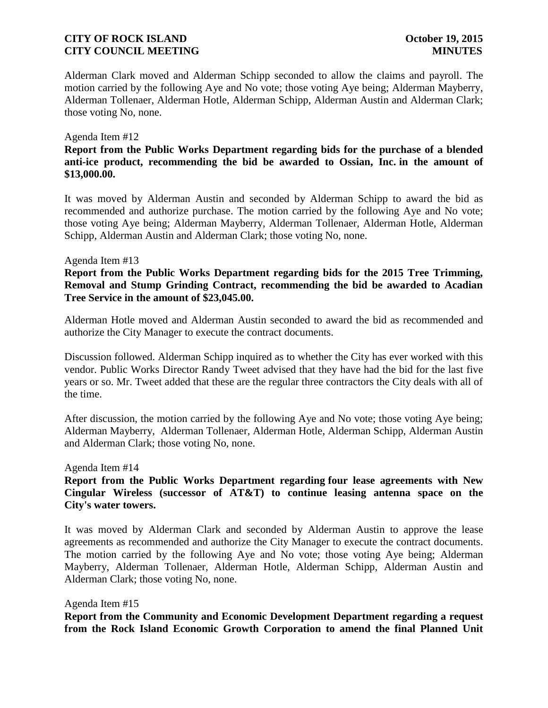Alderman Clark moved and Alderman Schipp seconded to allow the claims and payroll. The motion carried by the following Aye and No vote; those voting Aye being; Alderman Mayberry, Alderman Tollenaer, Alderman Hotle, Alderman Schipp, Alderman Austin and Alderman Clark; those voting No, none.

#### Agenda Item #12

**Report from the Public Works Department regarding bids for the purchase of a blended anti-ice product, recommending the bid be awarded to Ossian, Inc. in the amount of \$13,000.00.** 

It was moved by Alderman Austin and seconded by Alderman Schipp to award the bid as recommended and authorize purchase. The motion carried by the following Aye and No vote; those voting Aye being; Alderman Mayberry, Alderman Tollenaer, Alderman Hotle, Alderman Schipp, Alderman Austin and Alderman Clark; those voting No, none.

#### Agenda Item #13

**Report from the Public Works Department regarding bids for the 2015 Tree Trimming, Removal and Stump Grinding Contract, recommending the bid be awarded to Acadian Tree Service in the amount of \$23,045.00.**

Alderman Hotle moved and Alderman Austin seconded to award the bid as recommended and authorize the City Manager to execute the contract documents.

Discussion followed. Alderman Schipp inquired as to whether the City has ever worked with this vendor. Public Works Director Randy Tweet advised that they have had the bid for the last five years or so. Mr. Tweet added that these are the regular three contractors the City deals with all of the time.

After discussion, the motion carried by the following Aye and No vote; those voting Aye being; Alderman Mayberry, Alderman Tollenaer, Alderman Hotle, Alderman Schipp, Alderman Austin and Alderman Clark; those voting No, none.

Agenda Item #14

**Report from the Public Works Department regarding four lease agreements with New Cingular Wireless (successor of AT&T) to continue leasing antenna space on the City's water towers.**

It was moved by Alderman Clark and seconded by Alderman Austin to approve the lease agreements as recommended and authorize the City Manager to execute the contract documents. The motion carried by the following Aye and No vote; those voting Aye being; Alderman Mayberry, Alderman Tollenaer, Alderman Hotle, Alderman Schipp, Alderman Austin and Alderman Clark; those voting No, none.

#### Agenda Item #15

**Report from the Community and Economic Development Department regarding a request from the Rock Island Economic Growth Corporation to amend the final Planned Unit**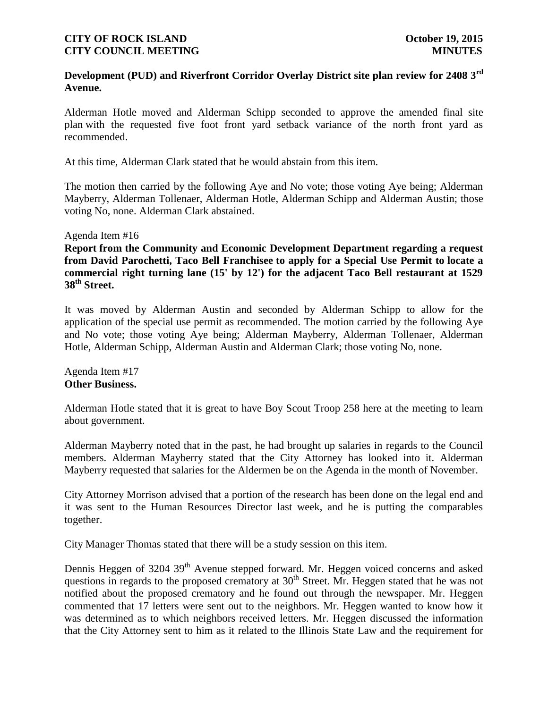# **Development (PUD) and Riverfront Corridor Overlay District site plan review for 2408 3rd Avenue.**

Alderman Hotle moved and Alderman Schipp seconded to approve the amended final site plan with the requested five foot front yard setback variance of the north front yard as recommended.

At this time, Alderman Clark stated that he would abstain from this item.

The motion then carried by the following Aye and No vote; those voting Aye being; Alderman Mayberry, Alderman Tollenaer, Alderman Hotle, Alderman Schipp and Alderman Austin; those voting No, none. Alderman Clark abstained.

#### Agenda Item #16

**Report from the Community and Economic Development Department regarding a request from David Parochetti, Taco Bell Franchisee to apply for a Special Use Permit to locate a commercial right turning lane (15' by 12') for the adjacent Taco Bell restaurant at 1529 38th Street.**

It was moved by Alderman Austin and seconded by Alderman Schipp to allow for the application of the special use permit as recommended. The motion carried by the following Aye and No vote; those voting Aye being; Alderman Mayberry, Alderman Tollenaer, Alderman Hotle, Alderman Schipp, Alderman Austin and Alderman Clark; those voting No, none.

Agenda Item #17 **Other Business.**

Alderman Hotle stated that it is great to have Boy Scout Troop 258 here at the meeting to learn about government.

Alderman Mayberry noted that in the past, he had brought up salaries in regards to the Council members. Alderman Mayberry stated that the City Attorney has looked into it. Alderman Mayberry requested that salaries for the Aldermen be on the Agenda in the month of November.

City Attorney Morrison advised that a portion of the research has been done on the legal end and it was sent to the Human Resources Director last week, and he is putting the comparables together.

City Manager Thomas stated that there will be a study session on this item.

Dennis Heggen of 3204 39<sup>th</sup> Avenue stepped forward. Mr. Heggen voiced concerns and asked questions in regards to the proposed crematory at  $30<sup>th</sup>$  Street. Mr. Heggen stated that he was not notified about the proposed crematory and he found out through the newspaper. Mr. Heggen commented that 17 letters were sent out to the neighbors. Mr. Heggen wanted to know how it was determined as to which neighbors received letters. Mr. Heggen discussed the information that the City Attorney sent to him as it related to the Illinois State Law and the requirement for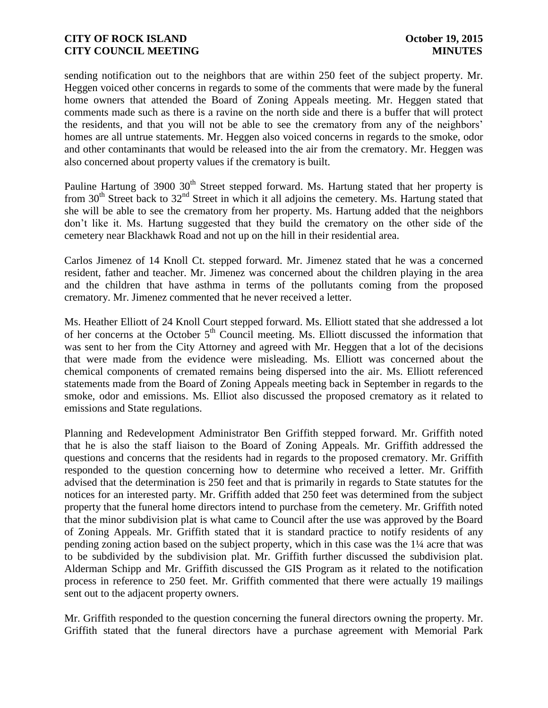sending notification out to the neighbors that are within 250 feet of the subject property. Mr. Heggen voiced other concerns in regards to some of the comments that were made by the funeral home owners that attended the Board of Zoning Appeals meeting. Mr. Heggen stated that comments made such as there is a ravine on the north side and there is a buffer that will protect the residents, and that you will not be able to see the crematory from any of the neighbors' homes are all untrue statements. Mr. Heggen also voiced concerns in regards to the smoke, odor and other contaminants that would be released into the air from the crematory. Mr. Heggen was also concerned about property values if the crematory is built.

Pauline Hartung of 3900 30<sup>th</sup> Street stepped forward. Ms. Hartung stated that her property is from  $30<sup>th</sup>$  Street back to  $32<sup>nd</sup>$  Street in which it all adjoins the cemetery. Ms. Hartung stated that she will be able to see the crematory from her property. Ms. Hartung added that the neighbors don't like it. Ms. Hartung suggested that they build the crematory on the other side of the cemetery near Blackhawk Road and not up on the hill in their residential area.

Carlos Jimenez of 14 Knoll Ct. stepped forward. Mr. Jimenez stated that he was a concerned resident, father and teacher. Mr. Jimenez was concerned about the children playing in the area and the children that have asthma in terms of the pollutants coming from the proposed crematory. Mr. Jimenez commented that he never received a letter.

Ms. Heather Elliott of 24 Knoll Court stepped forward. Ms. Elliott stated that she addressed a lot of her concerns at the October  $5<sup>th</sup>$  Council meeting. Ms. Elliott discussed the information that was sent to her from the City Attorney and agreed with Mr. Heggen that a lot of the decisions that were made from the evidence were misleading. Ms. Elliott was concerned about the chemical components of cremated remains being dispersed into the air. Ms. Elliott referenced statements made from the Board of Zoning Appeals meeting back in September in regards to the smoke, odor and emissions. Ms. Elliot also discussed the proposed crematory as it related to emissions and State regulations.

Planning and Redevelopment Administrator Ben Griffith stepped forward. Mr. Griffith noted that he is also the staff liaison to the Board of Zoning Appeals. Mr. Griffith addressed the questions and concerns that the residents had in regards to the proposed crematory. Mr. Griffith responded to the question concerning how to determine who received a letter. Mr. Griffith advised that the determination is 250 feet and that is primarily in regards to State statutes for the notices for an interested party. Mr. Griffith added that 250 feet was determined from the subject property that the funeral home directors intend to purchase from the cemetery. Mr. Griffith noted that the minor subdivision plat is what came to Council after the use was approved by the Board of Zoning Appeals. Mr. Griffith stated that it is standard practice to notify residents of any pending zoning action based on the subject property, which in this case was the 1¼ acre that was to be subdivided by the subdivision plat. Mr. Griffith further discussed the subdivision plat. Alderman Schipp and Mr. Griffith discussed the GIS Program as it related to the notification process in reference to 250 feet. Mr. Griffith commented that there were actually 19 mailings sent out to the adjacent property owners.

Mr. Griffith responded to the question concerning the funeral directors owning the property. Mr. Griffith stated that the funeral directors have a purchase agreement with Memorial Park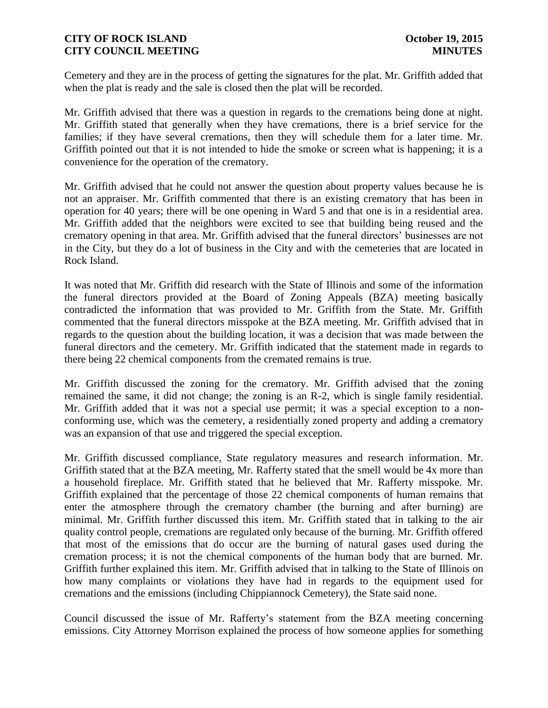Cemetery and they are in the process of getting the signatures for the plat. Mr. Griffith added that when the plat is ready and the sale is closed then the plat will be recorded.

Mr. Griffith advised that there was a question in regards to the cremations being done at night. Mr. Griffith stated that generally when they have cremations, there is a brief service for the families; if they have several cremations, then they will schedule them for a later time. Mr. Griffith pointed out that it is not intended to hide the smoke or screen what is happening; it is a convenience for the operation of the crematory.

Mr. Griffith advised that he could not answer the question about property values because he is not an appraiser. Mr. Griffith commented that there is an existing crematory that has been in operation for 40 years; there will be one opening in Ward 5 and that one is in a residential area. Mr. Griffith added that the neighbors were excited to see that building being reused and the crematory opening in that area. Mr. Griffith advised that the funeral directors' businesses are not in the City, but they do a lot of business in the City and with the cemeteries that are located in Rock Island.

It was noted that Mr. Griffith did research with the State of Illinois and some of the information the funeral directors provided at the Board of Zoning Appeals (BZA) meeting basically contradicted the information that was provided to Mr. Griffith from the State. Mr. Griffith commented that the funeral directors misspoke at the BZA meeting. Mr. Griffith advised that in regards to the question about the building location, it was a decision that was made between the funeral directors and the cemetery. Mr. Griffith indicated that the statement made in regards to there being 22 chemical components from the cremated remains is true.

Mr. Griffith discussed the zoning for the crematory. Mr. Griffith advised that the zoning remained the same, it did not change; the zoning is an R-2, which is single family residential. Mr. Griffith added that it was not a special use permit; it was a special exception to a nonconforming use, which was the cemetery, a residentially zoned property and adding a crematory was an expansion of that use and triggered the special exception.

Mr. Griffith discussed compliance, State regulatory measures and research information. Mr. Griffith stated that at the BZA meeting, Mr. Rafferty stated that the smell would be 4x more than a household fireplace. Mr. Griffith stated that he believed that Mr. Rafferty misspoke. Mr. Griffith explained that the percentage of those 22 chemical components of human remains that enter the atmosphere through the crematory chamber (the burning and after burning) are minimal. Mr. Griffith further discussed this item. Mr. Griffith stated that in talking to the air quality control people, cremations are regulated only because of the burning. Mr. Griffith offered that most of the emissions that do occur are the burning of natural gases used during the cremation process; it is not the chemical components of the human body that are burned. Mr. Griffith further explained this item. Mr. Griffith advised that in talking to the State of Illinois on how many complaints or violations they have had in regards to the equipment used for cremations and the emissions (including Chippiannock Cemetery), the State said none.

Council discussed the issue of Mr. Rafferty's statement from the BZA meeting concerning emissions. City Attorney Morrison explained the process of how someone applies for something